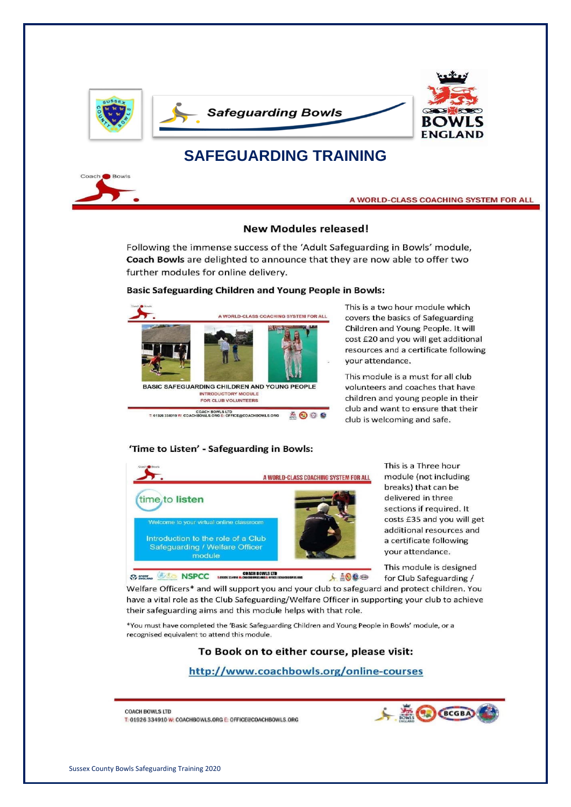

#### A WORLD-CLASS COACHING SYSTEM FOR ALL

#### **New Modules released!**

Following the immense success of the 'Adult Safeguarding in Bowls' module, Coach Bowls are delighted to announce that they are now able to offer two further modules for online delivery.

#### **Basic Safeguarding Children and Young People in Bowls:**



This is a two hour module which covers the basics of Safeguarding Children and Young People. It will cost £20 and you will get additional resources and a certificate following vour attendance.

This module is a must for all club volunteers and coaches that have children and young people in their club and want to ensure that their club is welcoming and safe.

#### 'Time to Listen' - Safeguarding in Bowls:



This is a Three hour module (not including breaks) that can be delivered in three sections if required. It costs £35 and you will get additional resources and a certificate following your attendance.

This module is designed for Club Safeguarding /

Welfare Officers\* and will support you and your club to safeguard and protect children. You have a vital role as the Club Safeguarding/Welfare Officer in supporting your club to achieve their safeguarding aims and this module helps with that role.

\*You must have completed the 'Basic Safeguarding Children and Young People in Bowls' module, or a recognised equivalent to attend this module.

### To Book on to either course, please visit:

### http://www.coachbowls.org/online-courses

**COACH BOWLS LTD** T: 01926 334910 W: COACHBOWLS.ORG E: OFFICE@COACHBOWLS.ORG

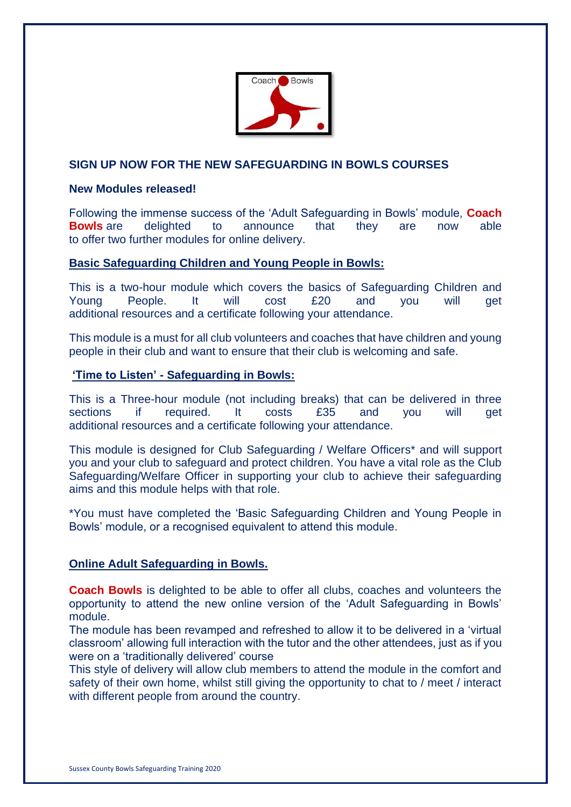

# **SIGN UP NOW FOR THE NEW SAFEGUARDING IN BOWLS COURSES**

### **New Modules released!**

Following the immense success of the 'Adult Safeguarding in Bowls' module, **Coach Bowls** are delighted to announce that they are now able to offer two further modules for online delivery.

## **Basic Safeguarding Children and Young People in Bowls:**

This is a two-hour module which covers the basics of Safeguarding Children and Young People. It will cost £20 and you will get additional resources and a certificate following your attendance.

This module is a must for all club volunteers and coaches that have children and young people in their club and want to ensure that their club is welcoming and safe.

### **'Time to Listen' - Safeguarding in Bowls:**

This is a Three-hour module (not including breaks) that can be delivered in three sections if required. It costs £35 and you will get additional resources and a certificate following your attendance.

This module is designed for Club Safeguarding / Welfare Officers\* and will support you and your club to safeguard and protect children. You have a vital role as the Club Safeguarding/Welfare Officer in supporting your club to achieve their safeguarding aims and this module helps with that role.

\*You must have completed the 'Basic Safeguarding Children and Young People in Bowls' module, or a recognised equivalent to attend this module.

# **Online Adult Safeguarding in Bowls.**

**Coach Bowls** is delighted to be able to offer all clubs, coaches and volunteers the opportunity to attend the new online version of the 'Adult Safeguarding in Bowls' module.

The module has been revamped and refreshed to allow it to be delivered in a 'virtual classroom' allowing full interaction with the tutor and the other attendees, just as if you were on a 'traditionally delivered' course

This style of delivery will allow club members to attend the module in the comfort and safety of their own home, whilst still giving the opportunity to chat to / meet / interact with different people from around the country.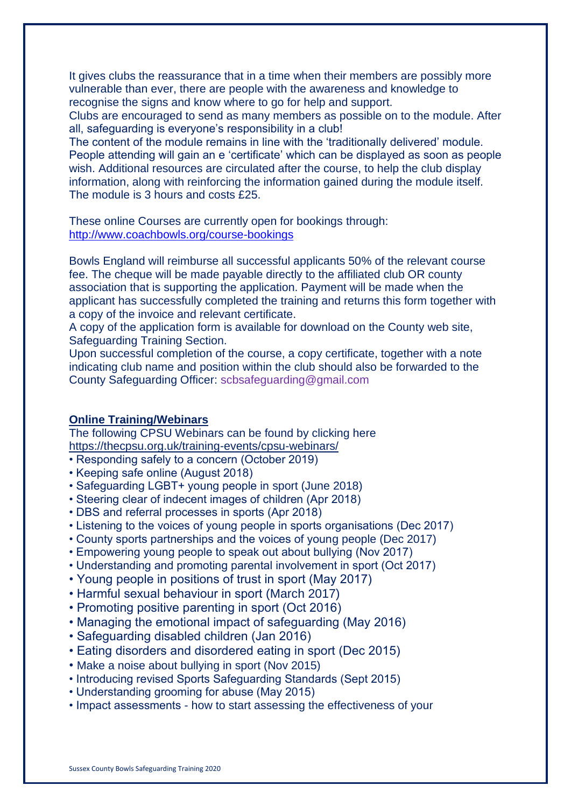It gives clubs the reassurance that in a time when their members are possibly more vulnerable than ever, there are people with the awareness and knowledge to recognise the signs and know where to go for help and support.

Clubs are encouraged to send as many members as possible on to the module. After all, safeguarding is everyone's responsibility in a club!

The content of the module remains in line with the 'traditionally delivered' module. People attending will gain an e 'certificate' which can be displayed as soon as people wish. Additional resources are circulated after the course, to help the club display information, along with reinforcing the information gained during the module itself. The module is 3 hours and costs £25.

These online Courses are currently open for bookings through: <http://www.coachbowls.org/course-bookings>

Bowls England will reimburse all successful applicants 50% of the relevant course fee. The cheque will be made payable directly to the affiliated club OR county association that is supporting the application. Payment will be made when the applicant has successfully completed the training and returns this form together with a copy of the invoice and relevant certificate.

A copy of the application form is available for download on the County web site, Safeguarding Training Section.

Upon successful completion of the course, a copy certificate, together with a note indicating club name and position within the club should also be forwarded to the County Safeguarding Officer: scbsafeguarding@gmail.com

# **Online Training/Webinars**

The following CPSU Webinars can be found by clicking here <https://thecpsu.org.uk/training-events/cpsu-webinars/>

- Responding safely to a concern (October 2019)
- Keeping safe online (August 2018)
- Safeguarding LGBT+ young people in sport (June 2018)
- Steering clear of indecent images of children (Apr 2018)
- DBS and referral processes in sports (Apr 2018)
- Listening to the voices of young people in sports organisations (Dec 2017)
- County sports partnerships and the voices of young people (Dec 2017)
- Empowering young people to speak out about bullying (Nov 2017)
- Understanding and promoting parental involvement in sport (Oct 2017)
- Young people in positions of trust in sport (May 2017)
- Harmful sexual behaviour in sport (March 2017)
- Promoting positive parenting in sport (Oct 2016)
- Managing the emotional impact of safeguarding (May 2016)
- Safeguarding disabled children (Jan 2016)
- Eating disorders and disordered eating in sport (Dec 2015)
- Make a noise about bullying in sport (Nov 2015)
- Introducing revised Sports Safeguarding Standards (Sept 2015)
- Understanding grooming for abuse (May 2015)
- Impact assessments how to start assessing the effectiveness of your